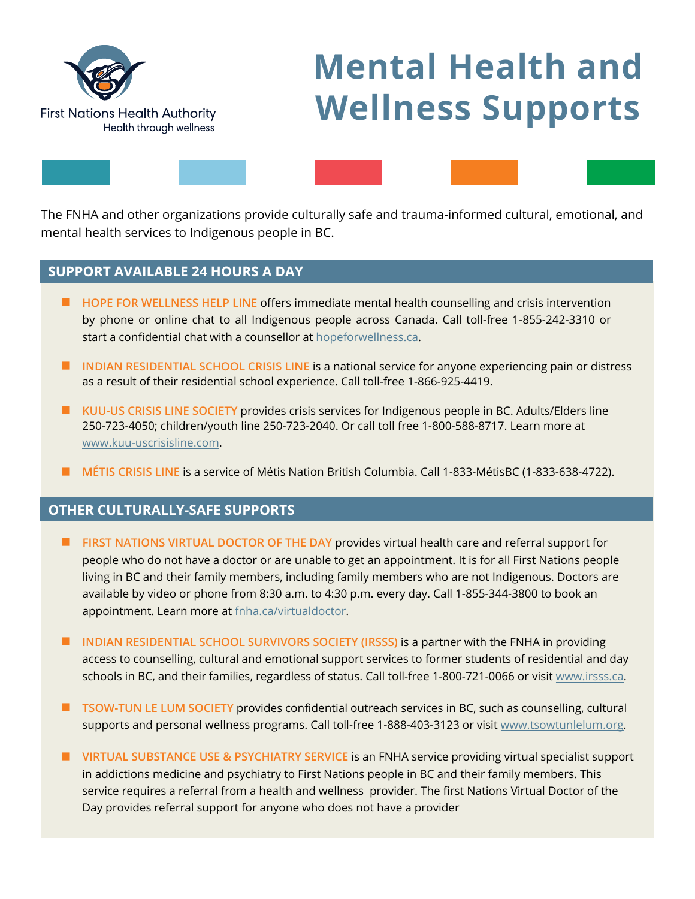

## **Mental Health and Wellness Supports**

The FNHA and other organizations provide culturally safe and trauma-informed cultural, emotional, and mental health services to Indigenous people in BC.

## **SUPPORT AVAILABLE 24 HOURS A DAY**

- <sup>J</sup> **HOPE FOR WELLNESS HELP LINE** offers immediate mental health counselling and crisis intervention by phone or online chat to all Indigenous people across Canada. Call toll-free 1-855-242-3310 or start a confidential chat with a counsellor at [hopeforwellness.ca.](www.hopeforwellness.ca)
- **INDIAN RESIDENTIAL SCHOOL CRISIS LINE** is a national service for anyone experiencing pain or distress as a result of their residential school experience. Call toll-free 1-866-925-4419.
- **IN KUU-US CRISIS LINE SOCIETY provides crisis services for Indigenous people in BC. Adults/Elders line** 250-723-4050; children/youth line 250-723-2040. Or call toll free 1-800-588-8717. Learn more at www.kuu-uscrisisline.com.
- <sup>J</sup> **MÉTIS CRISIS LINE** is a service of Métis Nation British Columbia. Call 1-833-MétisBC (1-833-638-4722).

## **OTHER CULTURALLY-SAFE SUPPORTS**

- **FIRST NATIONS VIRTUAL DOCTOR OF THE DAY provides virtual health care and referral support for** people who do not have a doctor or are unable to get an appointment. It is for all First Nations people living in BC and their family members, including family members who are not Indigenous. Doctors are available by video or phone from 8:30 a.m. to 4:30 p.m. every day. Call 1-855-344-3800 to book an appointment. Learn more a[t fnha.ca/virtualdoctor.](www.fnha.ca/virtualdoctor)
- **INDIAN RESIDENTIAL SCHOOL SURVIVORS SOCIETY (IRSSS) is a partner with the FNHA in providing** access to counselling, cultural and emotional support services to former students of residential and day schools in BC, and their families, regardless of status. Call toll-free 1-800-721-0066 or visit www.irsss.ca.
- **I** TSOW-TUN LE LUM SOCIETY provides confidential outreach services in BC, such as counselling, cultural supports and personal wellness programs. Call toll-free 1-888-403-3123 or visit www.tsowtunlelum.org.
- **I** VIRTUAL SUBSTANCE USE & PSYCHIATRY SERVICE is an FNHA service providing virtual specialist support in addictions medicine and psychiatry to First Nations people in BC and their family members. This service requires a referral from a health and wellness provider. The first Nations Virtual Doctor of the Day provides referral support for anyone who does not have a provider